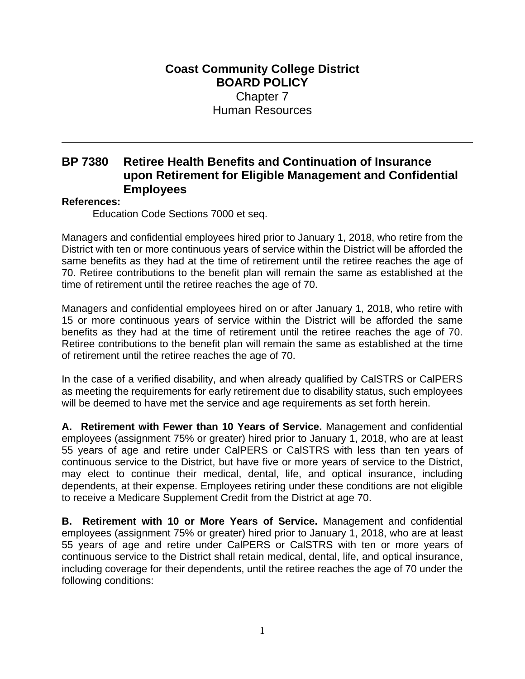## **Coast Community College District BOARD POLICY** Chapter 7 Human Resources

## **BP 7380 Retiree Health Benefits and Continuation of Insurance upon Retirement for Eligible Management and Confidential Employees**

## **References:**

Education Code Sections 7000 et seq.

Managers and confidential employees hired prior to January 1, 2018, who retire from the District with ten or more continuous years of service within the District will be afforded the same benefits as they had at the time of retirement until the retiree reaches the age of 70. Retiree contributions to the benefit plan will remain the same as established at the time of retirement until the retiree reaches the age of 70.

Managers and confidential employees hired on or after January 1, 2018, who retire with 15 or more continuous years of service within the District will be afforded the same benefits as they had at the time of retirement until the retiree reaches the age of 70. Retiree contributions to the benefit plan will remain the same as established at the time of retirement until the retiree reaches the age of 70.

In the case of a verified disability, and when already qualified by CalSTRS or CalPERS as meeting the requirements for early retirement due to disability status, such employees will be deemed to have met the service and age requirements as set forth herein.

**A. Retirement with Fewer than 10 Years of Service.** Management and confidential employees (assignment 75% or greater) hired prior to January 1, 2018, who are at least 55 years of age and retire under CalPERS or CalSTRS with less than ten years of continuous service to the District, but have five or more years of service to the District, may elect to continue their medical, dental, life, and optical insurance, including dependents, at their expense. Employees retiring under these conditions are not eligible to receive a Medicare Supplement Credit from the District at age 70.

**B. Retirement with 10 or More Years of Service.** Management and confidential employees (assignment 75% or greater) hired prior to January 1, 2018, who are at least 55 years of age and retire under CalPERS or CalSTRS with ten or more years of continuous service to the District shall retain medical, dental, life, and optical insurance, including coverage for their dependents, until the retiree reaches the age of 70 under the following conditions: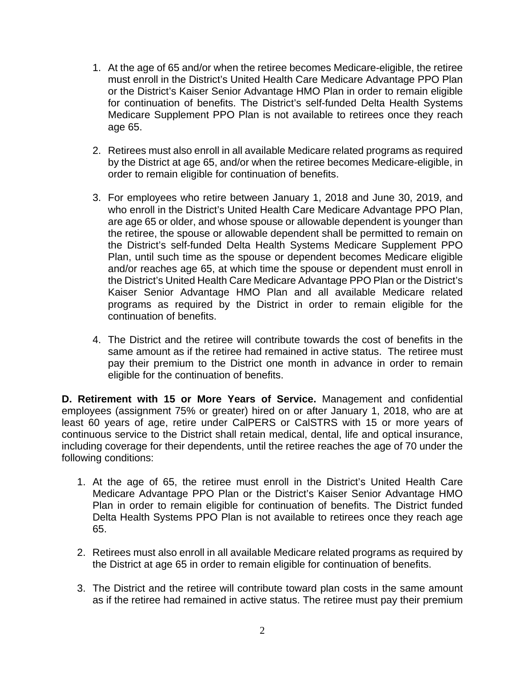- 1. At the age of 65 and/or when the retiree becomes Medicare-eligible, the retiree must enroll in the District's United Health Care Medicare Advantage PPO Plan or the District's Kaiser Senior Advantage HMO Plan in order to remain eligible for continuation of benefits. The District's self-funded Delta Health Systems Medicare Supplement PPO Plan is not available to retirees once they reach age 65.
- 2. Retirees must also enroll in all available Medicare related programs as required by the District at age 65, and/or when the retiree becomes Medicare-eligible, in order to remain eligible for continuation of benefits.
- 3. For employees who retire between January 1, 2018 and June 30, 2019, and who enroll in the District's United Health Care Medicare Advantage PPO Plan, are age 65 or older, and whose spouse or allowable dependent is younger than the retiree, the spouse or allowable dependent shall be permitted to remain on the District's self-funded Delta Health Systems Medicare Supplement PPO Plan, until such time as the spouse or dependent becomes Medicare eligible and/or reaches age 65, at which time the spouse or dependent must enroll in the District's United Health Care Medicare Advantage PPO Plan or the District's Kaiser Senior Advantage HMO Plan and all available Medicare related programs as required by the District in order to remain eligible for the continuation of benefits.
- 4. The District and the retiree will contribute towards the cost of benefits in the same amount as if the retiree had remained in active status. The retiree must pay their premium to the District one month in advance in order to remain eligible for the continuation of benefits.

**D. Retirement with 15 or More Years of Service.** Management and confidential employees (assignment 75% or greater) hired on or after January 1, 2018, who are at least 60 years of age, retire under CalPERS or CalSTRS with 15 or more years of continuous service to the District shall retain medical, dental, life and optical insurance, including coverage for their dependents, until the retiree reaches the age of 70 under the following conditions:

- 1. At the age of 65, the retiree must enroll in the District's United Health Care Medicare Advantage PPO Plan or the District's Kaiser Senior Advantage HMO Plan in order to remain eligible for continuation of benefits. The District funded Delta Health Systems PPO Plan is not available to retirees once they reach age 65.
- 2. Retirees must also enroll in all available Medicare related programs as required by the District at age 65 in order to remain eligible for continuation of benefits.
- 3. The District and the retiree will contribute toward plan costs in the same amount as if the retiree had remained in active status. The retiree must pay their premium